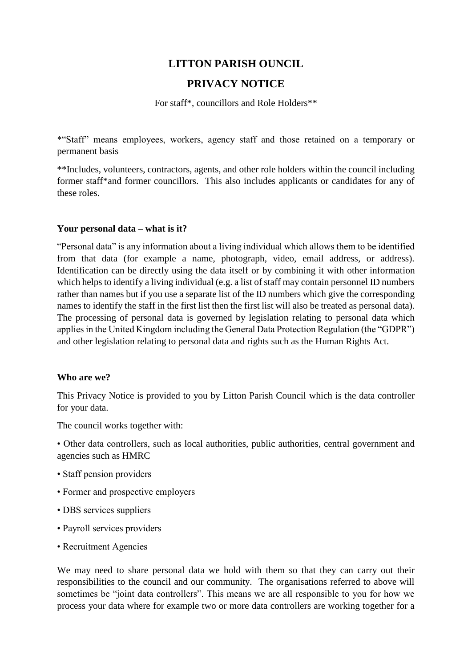# **LITTON PARISH OUNCIL**

# **PRIVACY NOTICE**

For staff\*, councillors and Role Holders\*\*

\*"Staff" means employees, workers, agency staff and those retained on a temporary or permanent basis

\*\*Includes, volunteers, contractors, agents, and other role holders within the council including former staff\*and former councillors. This also includes applicants or candidates for any of these roles.

### **Your personal data – what is it?**

"Personal data" is any information about a living individual which allows them to be identified from that data (for example a name, photograph, video, email address, or address). Identification can be directly using the data itself or by combining it with other information which helps to identify a living individual (e.g. a list of staff may contain personnel ID numbers rather than names but if you use a separate list of the ID numbers which give the corresponding names to identify the staff in the first list then the first list will also be treated as personal data). The processing of personal data is governed by legislation relating to personal data which applies in the United Kingdom including the General Data Protection Regulation (the "GDPR") and other legislation relating to personal data and rights such as the Human Rights Act.

### **Who are we?**

This Privacy Notice is provided to you by Litton Parish Council which is the data controller for your data.

The council works together with:

• Other data controllers, such as local authorities, public authorities, central government and agencies such as HMRC

- Staff pension providers
- Former and prospective employers
- DBS services suppliers
- Payroll services providers
- Recruitment Agencies

We may need to share personal data we hold with them so that they can carry out their responsibilities to the council and our community. The organisations referred to above will sometimes be "joint data controllers". This means we are all responsible to you for how we process your data where for example two or more data controllers are working together for a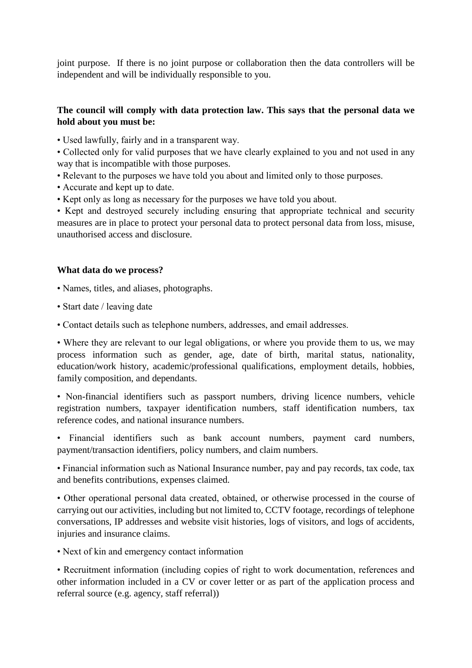joint purpose. If there is no joint purpose or collaboration then the data controllers will be independent and will be individually responsible to you.

# **The council will comply with data protection law. This says that the personal data we hold about you must be:**

• Used lawfully, fairly and in a transparent way.

• Collected only for valid purposes that we have clearly explained to you and not used in any way that is incompatible with those purposes.

- Relevant to the purposes we have told you about and limited only to those purposes.
- Accurate and kept up to date.
- Kept only as long as necessary for the purposes we have told you about.

• Kept and destroyed securely including ensuring that appropriate technical and security measures are in place to protect your personal data to protect personal data from loss, misuse, unauthorised access and disclosure.

# **What data do we process?**

- Names, titles, and aliases, photographs.
- Start date / leaving date
- Contact details such as telephone numbers, addresses, and email addresses.

• Where they are relevant to our legal obligations, or where you provide them to us, we may process information such as gender, age, date of birth, marital status, nationality, education/work history, academic/professional qualifications, employment details, hobbies, family composition, and dependants.

• Non-financial identifiers such as passport numbers, driving licence numbers, vehicle registration numbers, taxpayer identification numbers, staff identification numbers, tax reference codes, and national insurance numbers.

• Financial identifiers such as bank account numbers, payment card numbers, payment/transaction identifiers, policy numbers, and claim numbers.

• Financial information such as National Insurance number, pay and pay records, tax code, tax and benefits contributions, expenses claimed.

• Other operational personal data created, obtained, or otherwise processed in the course of carrying out our activities, including but not limited to, CCTV footage, recordings of telephone conversations, IP addresses and website visit histories, logs of visitors, and logs of accidents, injuries and insurance claims.

• Next of kin and emergency contact information

• Recruitment information (including copies of right to work documentation, references and other information included in a CV or cover letter or as part of the application process and referral source (e.g. agency, staff referral))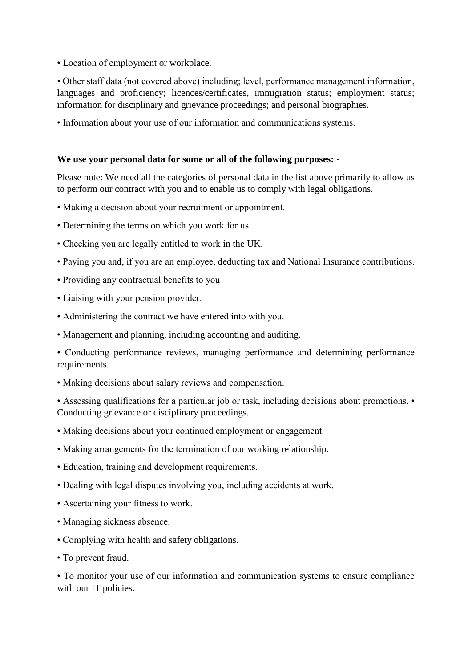• Location of employment or workplace.

• Other staff data (not covered above) including; level, performance management information, languages and proficiency; licences/certificates, immigration status; employment status; information for disciplinary and grievance proceedings; and personal biographies.

• Information about your use of our information and communications systems.

## **We use your personal data for some or all of the following purposes: -**

Please note: We need all the categories of personal data in the list above primarily to allow us to perform our contract with you and to enable us to comply with legal obligations.

- Making a decision about your recruitment or appointment.
- Determining the terms on which you work for us.
- Checking you are legally entitled to work in the UK.
- Paying you and, if you are an employee, deducting tax and National Insurance contributions.
- Providing any contractual benefits to you
- Liaising with your pension provider.
- Administering the contract we have entered into with you.
- Management and planning, including accounting and auditing.
- Conducting performance reviews, managing performance and determining performance requirements.
- Making decisions about salary reviews and compensation.

• Assessing qualifications for a particular job or task, including decisions about promotions. Conducting grievance or disciplinary proceedings.

- Making decisions about your continued employment or engagement.
- Making arrangements for the termination of our working relationship.
- Education, training and development requirements.
- Dealing with legal disputes involving you, including accidents at work.
- Ascertaining your fitness to work.
- Managing sickness absence.
- Complying with health and safety obligations.
- To prevent fraud.

• To monitor your use of our information and communication systems to ensure compliance with our IT policies.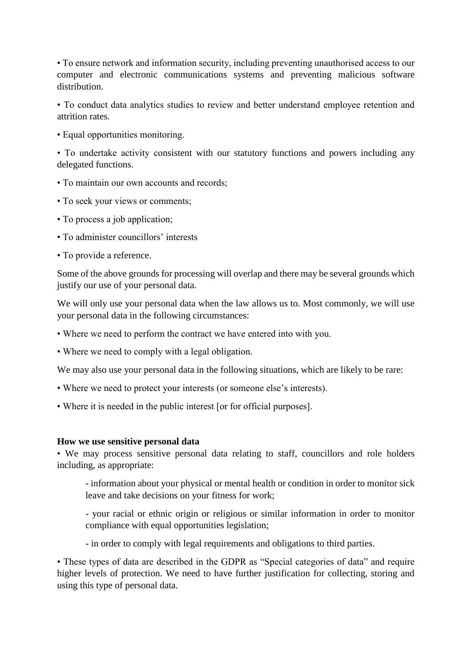• To ensure network and information security, including preventing unauthorised access to our computer and electronic communications systems and preventing malicious software distribution.

• To conduct data analytics studies to review and better understand employee retention and attrition rates.

• Equal opportunities monitoring.

• To undertake activity consistent with our statutory functions and powers including any delegated functions.

- To maintain our own accounts and records;
- To seek your views or comments;
- To process a job application;
- To administer councillors' interests
- To provide a reference.

Some of the above grounds for processing will overlap and there may be several grounds which justify our use of your personal data.

We will only use your personal data when the law allows us to. Most commonly, we will use your personal data in the following circumstances:

- Where we need to perform the contract we have entered into with you.
- Where we need to comply with a legal obligation.

We may also use your personal data in the following situations, which are likely to be rare:

- Where we need to protect your interests (or someone else's interests).
- Where it is needed in the public interest [or for official purposes].

### **How we use sensitive personal data**

• We may process sensitive personal data relating to staff, councillors and role holders including, as appropriate:

- information about your physical or mental health or condition in order to monitor sick leave and take decisions on your fitness for work;

- your racial or ethnic origin or religious or similar information in order to monitor compliance with equal opportunities legislation;

- in order to comply with legal requirements and obligations to third parties.

• These types of data are described in the GDPR as "Special categories of data" and require higher levels of protection. We need to have further justification for collecting, storing and using this type of personal data.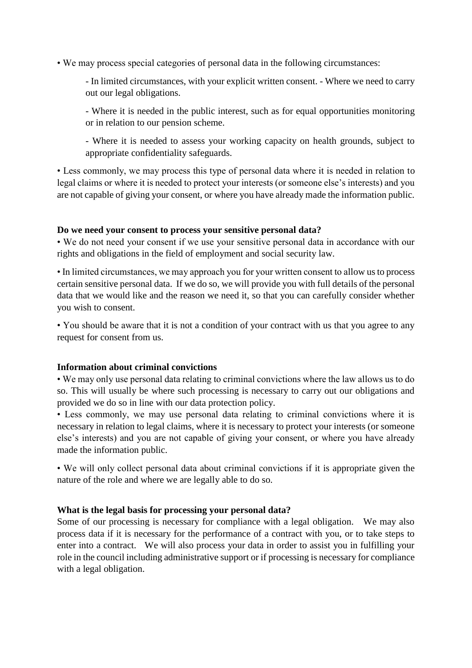• We may process special categories of personal data in the following circumstances:

- In limited circumstances, with your explicit written consent. - Where we need to carry out our legal obligations.

- Where it is needed in the public interest, such as for equal opportunities monitoring or in relation to our pension scheme.

- Where it is needed to assess your working capacity on health grounds, subject to appropriate confidentiality safeguards.

• Less commonly, we may process this type of personal data where it is needed in relation to legal claims or where it is needed to protect your interests (or someone else's interests) and you are not capable of giving your consent, or where you have already made the information public.

### **Do we need your consent to process your sensitive personal data?**

• We do not need your consent if we use your sensitive personal data in accordance with our rights and obligations in the field of employment and social security law.

• In limited circumstances, we may approach you for your written consent to allow us to process certain sensitive personal data. If we do so, we will provide you with full details of the personal data that we would like and the reason we need it, so that you can carefully consider whether you wish to consent.

• You should be aware that it is not a condition of your contract with us that you agree to any request for consent from us.

### **Information about criminal convictions**

• We may only use personal data relating to criminal convictions where the law allows us to do so. This will usually be where such processing is necessary to carry out our obligations and provided we do so in line with our data protection policy.

• Less commonly, we may use personal data relating to criminal convictions where it is necessary in relation to legal claims, where it is necessary to protect your interests (or someone else's interests) and you are not capable of giving your consent, or where you have already made the information public.

• We will only collect personal data about criminal convictions if it is appropriate given the nature of the role and where we are legally able to do so.

### **What is the legal basis for processing your personal data?**

Some of our processing is necessary for compliance with a legal obligation. We may also process data if it is necessary for the performance of a contract with you, or to take steps to enter into a contract. We will also process your data in order to assist you in fulfilling your role in the council including administrative support or if processing is necessary for compliance with a legal obligation.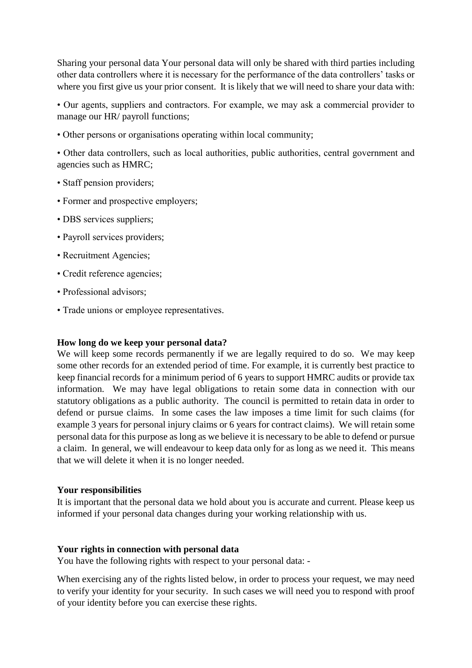Sharing your personal data Your personal data will only be shared with third parties including other data controllers where it is necessary for the performance of the data controllers' tasks or where you first give us your prior consent. It is likely that we will need to share your data with:

• Our agents, suppliers and contractors. For example, we may ask a commercial provider to manage our HR/ payroll functions;

• Other persons or organisations operating within local community;

• Other data controllers, such as local authorities, public authorities, central government and agencies such as HMRC;

- Staff pension providers;
- Former and prospective employers;
- DBS services suppliers;
- Payroll services providers;
- Recruitment Agencies;
- Credit reference agencies;
- Professional advisors:
- Trade unions or employee representatives.

### **How long do we keep your personal data?**

We will keep some records permanently if we are legally required to do so. We may keep some other records for an extended period of time. For example, it is currently best practice to keep financial records for a minimum period of 6 years to support HMRC audits or provide tax information. We may have legal obligations to retain some data in connection with our statutory obligations as a public authority. The council is permitted to retain data in order to defend or pursue claims. In some cases the law imposes a time limit for such claims (for example 3 years for personal injury claims or 6 years for contract claims). We will retain some personal data for this purpose as long as we believe it is necessary to be able to defend or pursue a claim. In general, we will endeavour to keep data only for as long as we need it. This means that we will delete it when it is no longer needed.

#### **Your responsibilities**

It is important that the personal data we hold about you is accurate and current. Please keep us informed if your personal data changes during your working relationship with us.

#### **Your rights in connection with personal data**

You have the following rights with respect to your personal data: -

When exercising any of the rights listed below, in order to process your request, we may need to verify your identity for your security. In such cases we will need you to respond with proof of your identity before you can exercise these rights.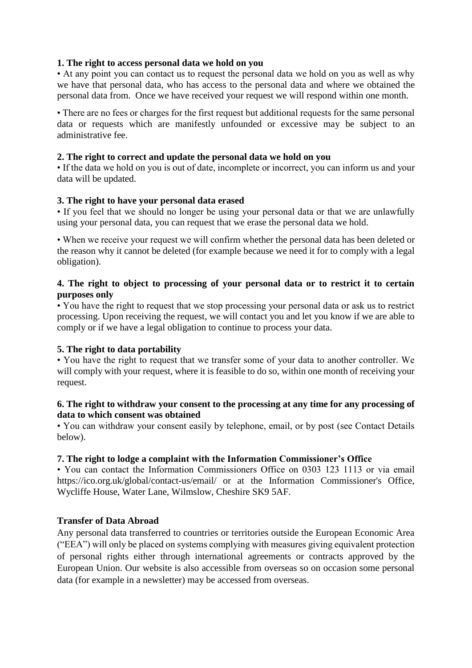# **1. The right to access personal data we hold on you**

• At any point you can contact us to request the personal data we hold on you as well as why we have that personal data, who has access to the personal data and where we obtained the personal data from. Once we have received your request we will respond within one month.

• There are no fees or charges for the first request but additional requests for the same personal data or requests which are manifestly unfounded or excessive may be subject to an administrative fee.

# **2. The right to correct and update the personal data we hold on you**

• If the data we hold on you is out of date, incomplete or incorrect, you can inform us and your data will be updated.

# **3. The right to have your personal data erased**

• If you feel that we should no longer be using your personal data or that we are unlawfully using your personal data, you can request that we erase the personal data we hold.

• When we receive your request we will confirm whether the personal data has been deleted or the reason why it cannot be deleted (for example because we need it for to comply with a legal obligation).

# **4. The right to object to processing of your personal data or to restrict it to certain purposes only**

• You have the right to request that we stop processing your personal data or ask us to restrict processing. Upon receiving the request, we will contact you and let you know if we are able to comply or if we have a legal obligation to continue to process your data.

# **5. The right to data portability**

• You have the right to request that we transfer some of your data to another controller. We will comply with your request, where it is feasible to do so, within one month of receiving your request.

### **6. The right to withdraw your consent to the processing at any time for any processing of data to which consent was obtained**

• You can withdraw your consent easily by telephone, email, or by post (see Contact Details below).

### **7. The right to lodge a complaint with the Information Commissioner's Office**

• You can contact the Information Commissioners Office on 0303 123 1113 or via email https://ico.org.uk/global/contact-us/email/ or at the Information Commissioner's Office, Wycliffe House, Water Lane, Wilmslow, Cheshire SK9 5AF.

### **Transfer of Data Abroad**

Any personal data transferred to countries or territories outside the European Economic Area ("EEA") will only be placed on systems complying with measures giving equivalent protection of personal rights either through international agreements or contracts approved by the European Union. Our website is also accessible from overseas so on occasion some personal data (for example in a newsletter) may be accessed from overseas.